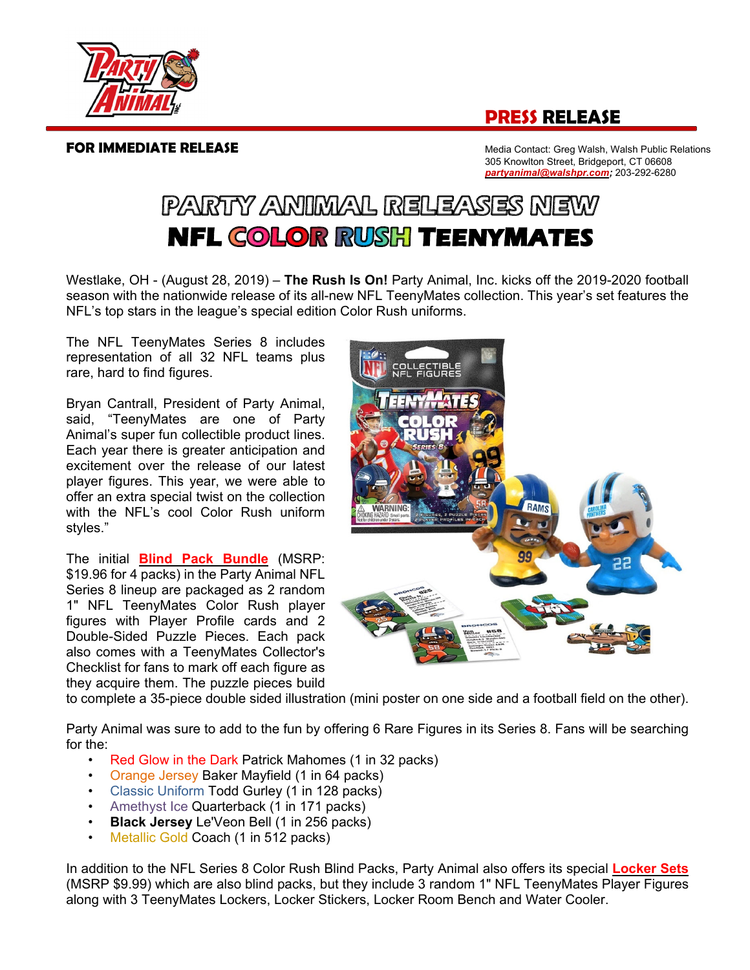## **PRESS RELEASE**



**FOR IMMEDIATE RELEASE Media Contact: Greg Walsh, Walsh Public Relations**  305 Knowlton Street, Bridgeport, CT 06608 *partyanimal@walshpr.com;* 203-292-6280

## PARTY ANIMAL RELEASES NEW **NFL COLOR RUSH TEENYMATES**

Westlake, OH - (August 28, 2019) – **The Rush Is On!** Party Animal, Inc. kicks off the 2019-2020 football season with the nationwide release of its all-new NFL TeenyMates collection. This year's set features the NFL's top stars in the league's special edition Color Rush uniforms.

The NFL TeenyMates Series 8 includes representation of all 32 NFL teams plus rare, hard to find figures.

Bryan Cantrall, President of Party Animal, said, "TeenyMates are one of Party Animal's super fun collectible product lines. Each year there is greater anticipation and excitement over the release of our latest player figures. This year, we were able to offer an extra special twist on the collection with the NFL's cool Color Rush uniform styles."

The initial **Blind Pack Bundle** (MSRP: \$19.96 for 4 packs) in the Party Animal NFL Series 8 lineup are packaged as 2 random 1" NFL TeenyMates Color Rush player figures with Player Profile cards and 2 Double-Sided Puzzle Pieces. Each pack also comes with a TeenyMates Collector's Checklist for fans to mark off each figure as they acquire them. The puzzle pieces build



to complete a 35-piece double sided illustration (mini poster on one side and a football field on the other).

Party Animal was sure to add to the fun by offering 6 Rare Figures in its Series 8. Fans will be searching for the:

- Red Glow in the Dark Patrick Mahomes (1 in 32 packs)
- Orange Jersey Baker Mayfield (1 in 64 packs)
- Classic Uniform Todd Gurley (1 in 128 packs)
- Amethyst Ice Quarterback (1 in 171 packs)
- **Black Jersey** Le'Veon Bell (1 in 256 packs)
- Metallic Gold Coach (1 in 512 packs)

In addition to the NFL Series 8 Color Rush Blind Packs, Party Animal also offers its special **Locker Sets** (MSRP \$9.99) which are also blind packs, but they include 3 random 1" NFL TeenyMates Player Figures along with 3 TeenyMates Lockers, Locker Stickers, Locker Room Bench and Water Cooler.